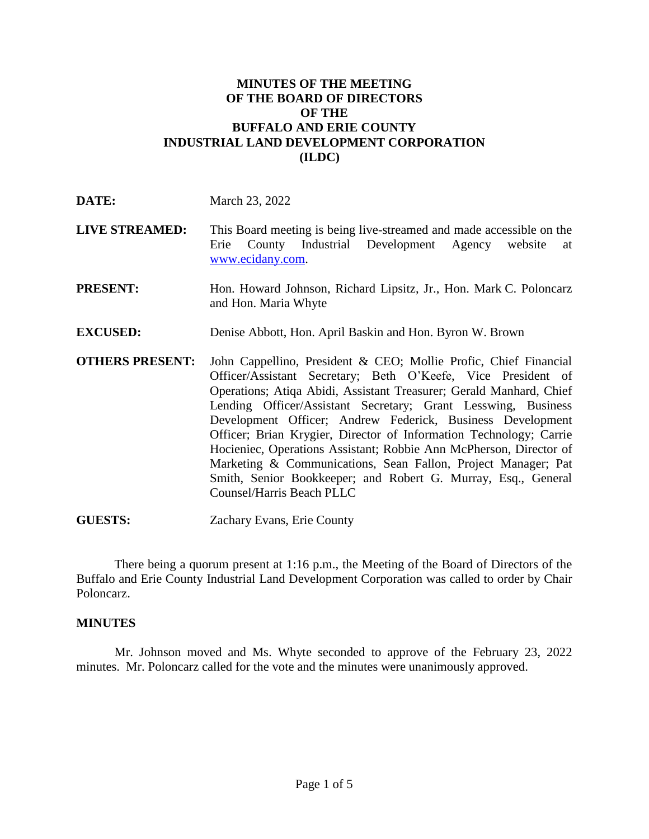# **MINUTES OF THE MEETING OF THE BOARD OF DIRECTORS OF THE BUFFALO AND ERIE COUNTY INDUSTRIAL LAND DEVELOPMENT CORPORATION (ILDC)**

| DATE:                  | March 23, 2022                                                                                                                                                                                                                                                                                                                                                                                                                                                                                                                                                                                                                                    |
|------------------------|---------------------------------------------------------------------------------------------------------------------------------------------------------------------------------------------------------------------------------------------------------------------------------------------------------------------------------------------------------------------------------------------------------------------------------------------------------------------------------------------------------------------------------------------------------------------------------------------------------------------------------------------------|
| <b>LIVE STREAMED:</b>  | This Board meeting is being live-streamed and made accessible on the<br>Erie County Industrial Development Agency website<br>at<br>www.ecidany.com.                                                                                                                                                                                                                                                                                                                                                                                                                                                                                               |
| <b>PRESENT:</b>        | Hon. Howard Johnson, Richard Lipsitz, Jr., Hon. Mark C. Poloncarz<br>and Hon. Maria Whyte                                                                                                                                                                                                                                                                                                                                                                                                                                                                                                                                                         |
| <b>EXCUSED:</b>        | Denise Abbott, Hon. April Baskin and Hon. Byron W. Brown                                                                                                                                                                                                                                                                                                                                                                                                                                                                                                                                                                                          |
| <b>OTHERS PRESENT:</b> | John Cappellino, President & CEO; Mollie Profic, Chief Financial<br>Officer/Assistant Secretary; Beth O'Keefe, Vice President of<br>Operations; Atiqa Abidi, Assistant Treasurer; Gerald Manhard, Chief<br>Lending Officer/Assistant Secretary; Grant Lesswing, Business<br>Development Officer; Andrew Federick, Business Development<br>Officer; Brian Krygier, Director of Information Technology; Carrie<br>Hocieniec, Operations Assistant; Robbie Ann McPherson, Director of<br>Marketing & Communications, Sean Fallon, Project Manager; Pat<br>Smith, Senior Bookkeeper; and Robert G. Murray, Esq., General<br>Counsel/Harris Beach PLLC |

**GUESTS:** Zachary Evans, Erie County

There being a quorum present at 1:16 p.m., the Meeting of the Board of Directors of the Buffalo and Erie County Industrial Land Development Corporation was called to order by Chair Poloncarz.

#### **MINUTES**

Mr. Johnson moved and Ms. Whyte seconded to approve of the February 23, 2022 minutes. Mr. Poloncarz called for the vote and the minutes were unanimously approved.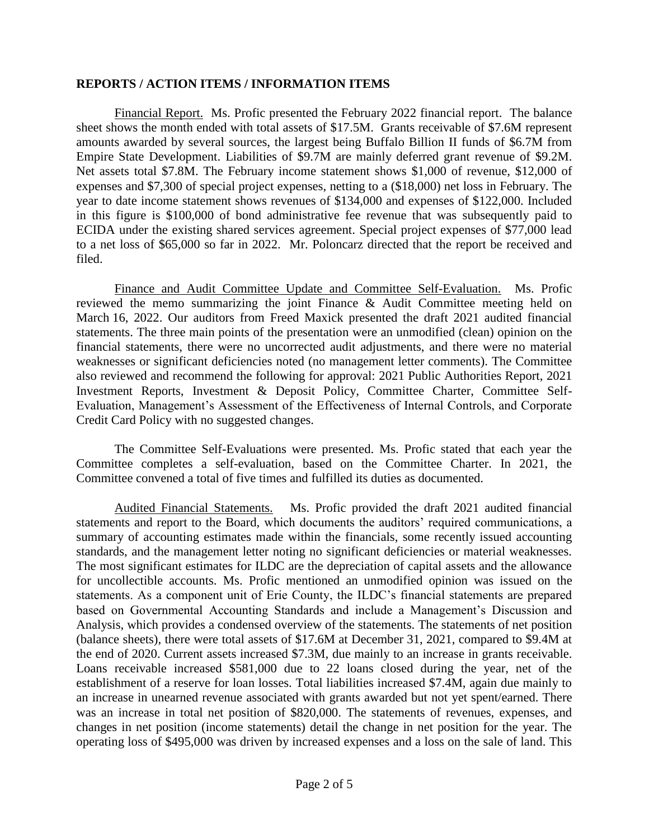### **REPORTS / ACTION ITEMS / INFORMATION ITEMS**

Financial Report. Ms. Profic presented the February 2022 financial report. The balance sheet shows the month ended with total assets of \$17.5M. Grants receivable of \$7.6M represent amounts awarded by several sources, the largest being Buffalo Billion II funds of \$6.7M from Empire State Development. Liabilities of \$9.7M are mainly deferred grant revenue of \$9.2M. Net assets total \$7.8M. The February income statement shows \$1,000 of revenue, \$12,000 of expenses and \$7,300 of special project expenses, netting to a (\$18,000) net loss in February. The year to date income statement shows revenues of \$134,000 and expenses of \$122,000. Included in this figure is \$100,000 of bond administrative fee revenue that was subsequently paid to ECIDA under the existing shared services agreement. Special project expenses of \$77,000 lead to a net loss of \$65,000 so far in 2022. Mr. Poloncarz directed that the report be received and filed.

Finance and Audit Committee Update and Committee Self-Evaluation. Ms. Profic reviewed the memo summarizing the joint Finance & Audit Committee meeting held on March 16, 2022. Our auditors from Freed Maxick presented the draft 2021 audited financial statements. The three main points of the presentation were an unmodified (clean) opinion on the financial statements, there were no uncorrected audit adjustments, and there were no material weaknesses or significant deficiencies noted (no management letter comments). The Committee also reviewed and recommend the following for approval: 2021 Public Authorities Report, 2021 Investment Reports, Investment & Deposit Policy, Committee Charter, Committee Self-Evaluation, Management's Assessment of the Effectiveness of Internal Controls, and Corporate Credit Card Policy with no suggested changes.

The Committee Self-Evaluations were presented. Ms. Profic stated that each year the Committee completes a self-evaluation, based on the Committee Charter. In 2021, the Committee convened a total of five times and fulfilled its duties as documented.

Audited Financial Statements. Ms. Profic provided the draft 2021 audited financial statements and report to the Board, which documents the auditors' required communications, a summary of accounting estimates made within the financials, some recently issued accounting standards, and the management letter noting no significant deficiencies or material weaknesses. The most significant estimates for ILDC are the depreciation of capital assets and the allowance for uncollectible accounts. Ms. Profic mentioned an unmodified opinion was issued on the statements. As a component unit of Erie County, the ILDC's financial statements are prepared based on Governmental Accounting Standards and include a Management's Discussion and Analysis, which provides a condensed overview of the statements. The statements of net position (balance sheets), there were total assets of \$17.6M at December 31, 2021, compared to \$9.4M at the end of 2020. Current assets increased \$7.3M, due mainly to an increase in grants receivable. Loans receivable increased \$581,000 due to 22 loans closed during the year, net of the establishment of a reserve for loan losses. Total liabilities increased \$7.4M, again due mainly to an increase in unearned revenue associated with grants awarded but not yet spent/earned. There was an increase in total net position of \$820,000. The statements of revenues, expenses, and changes in net position (income statements) detail the change in net position for the year. The operating loss of \$495,000 was driven by increased expenses and a loss on the sale of land. This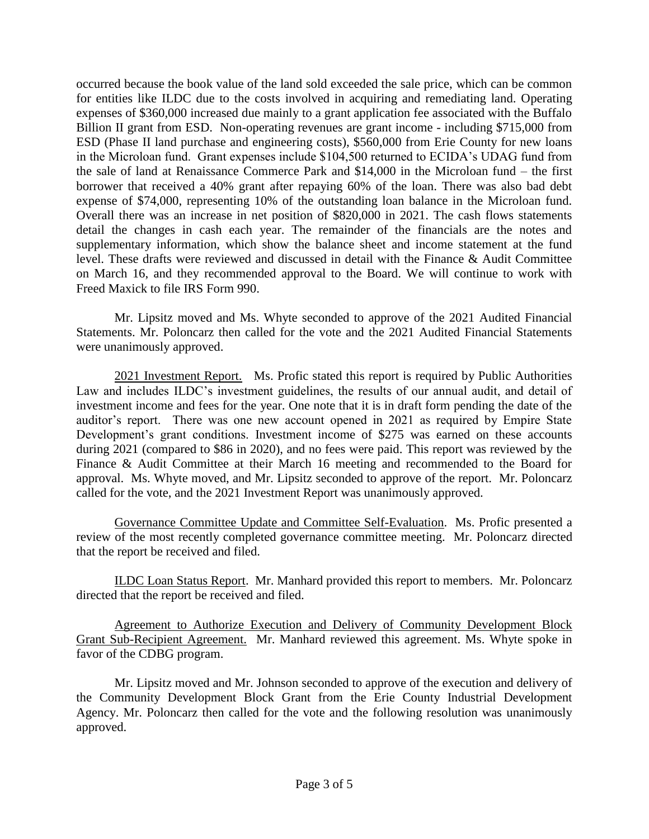occurred because the book value of the land sold exceeded the sale price, which can be common for entities like ILDC due to the costs involved in acquiring and remediating land. Operating expenses of \$360,000 increased due mainly to a grant application fee associated with the Buffalo Billion II grant from ESD. Non-operating revenues are grant income - including \$715,000 from ESD (Phase II land purchase and engineering costs), \$560,000 from Erie County for new loans in the Microloan fund. Grant expenses include \$104,500 returned to ECIDA's UDAG fund from the sale of land at Renaissance Commerce Park and \$14,000 in the Microloan fund – the first borrower that received a 40% grant after repaying 60% of the loan. There was also bad debt expense of \$74,000, representing 10% of the outstanding loan balance in the Microloan fund. Overall there was an increase in net position of \$820,000 in 2021. The cash flows statements detail the changes in cash each year. The remainder of the financials are the notes and supplementary information, which show the balance sheet and income statement at the fund level. These drafts were reviewed and discussed in detail with the Finance & Audit Committee on March 16, and they recommended approval to the Board. We will continue to work with Freed Maxick to file IRS Form 990.

Mr. Lipsitz moved and Ms. Whyte seconded to approve of the 2021 Audited Financial Statements. Mr. Poloncarz then called for the vote and the 2021 Audited Financial Statements were unanimously approved.

2021 Investment Report. Ms. Profic stated this report is required by Public Authorities Law and includes ILDC's investment guidelines, the results of our annual audit, and detail of investment income and fees for the year. One note that it is in draft form pending the date of the auditor's report. There was one new account opened in 2021 as required by Empire State Development's grant conditions. Investment income of \$275 was earned on these accounts during 2021 (compared to \$86 in 2020), and no fees were paid. This report was reviewed by the Finance & Audit Committee at their March 16 meeting and recommended to the Board for approval. Ms. Whyte moved, and Mr. Lipsitz seconded to approve of the report. Mr. Poloncarz called for the vote, and the 2021 Investment Report was unanimously approved.

Governance Committee Update and Committee Self-Evaluation. Ms. Profic presented a review of the most recently completed governance committee meeting. Mr. Poloncarz directed that the report be received and filed.

ILDC Loan Status Report. Mr. Manhard provided this report to members. Mr. Poloncarz directed that the report be received and filed.

Agreement to Authorize Execution and Delivery of Community Development Block Grant Sub-Recipient Agreement. Mr. Manhard reviewed this agreement. Ms. Whyte spoke in favor of the CDBG program.

Mr. Lipsitz moved and Mr. Johnson seconded to approve of the execution and delivery of the Community Development Block Grant from the Erie County Industrial Development Agency. Mr. Poloncarz then called for the vote and the following resolution was unanimously approved.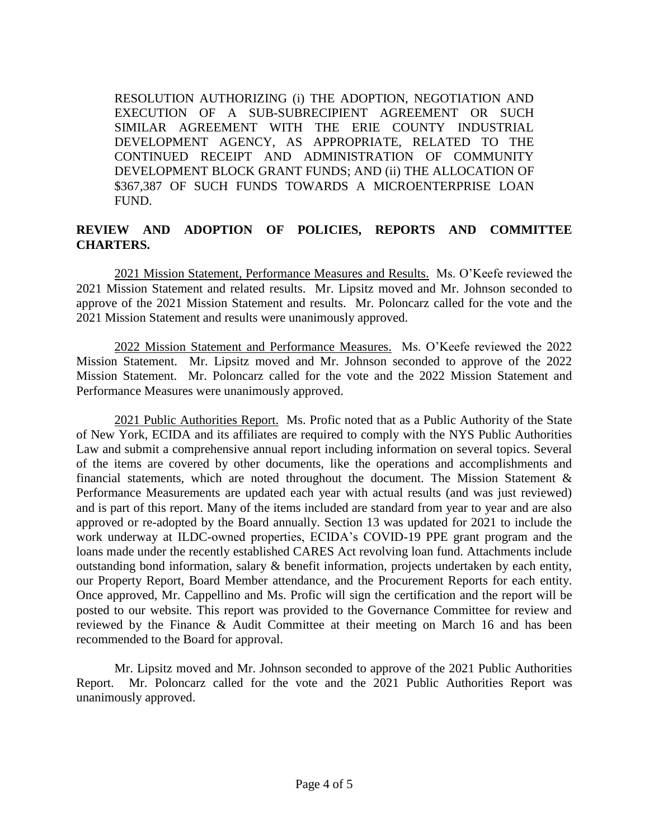RESOLUTION AUTHORIZING (i) THE ADOPTION, NEGOTIATION AND EXECUTION OF A SUB-SUBRECIPIENT AGREEMENT OR SUCH SIMILAR AGREEMENT WITH THE ERIE COUNTY INDUSTRIAL DEVELOPMENT AGENCY, AS APPROPRIATE, RELATED TO THE CONTINUED RECEIPT AND ADMINISTRATION OF COMMUNITY DEVELOPMENT BLOCK GRANT FUNDS; AND (ii) THE ALLOCATION OF \$367,387 OF SUCH FUNDS TOWARDS A MICROENTERPRISE LOAN FUND.

# **REVIEW AND ADOPTION OF POLICIES, REPORTS AND COMMITTEE CHARTERS.**

2021 Mission Statement, Performance Measures and Results. Ms. O'Keefe reviewed the 2021 Mission Statement and related results. Mr. Lipsitz moved and Mr. Johnson seconded to approve of the 2021 Mission Statement and results. Mr. Poloncarz called for the vote and the 2021 Mission Statement and results were unanimously approved.

2022 Mission Statement and Performance Measures. Ms. O'Keefe reviewed the 2022 Mission Statement. Mr. Lipsitz moved and Mr. Johnson seconded to approve of the 2022 Mission Statement. Mr. Poloncarz called for the vote and the 2022 Mission Statement and Performance Measures were unanimously approved.

2021 Public Authorities Report. Ms. Profic noted that as a Public Authority of the State of New York, ECIDA and its affiliates are required to comply with the NYS Public Authorities Law and submit a comprehensive annual report including information on several topics. Several of the items are covered by other documents, like the operations and accomplishments and financial statements, which are noted throughout the document. The Mission Statement & Performance Measurements are updated each year with actual results (and was just reviewed) and is part of this report. Many of the items included are standard from year to year and are also approved or re-adopted by the Board annually. Section 13 was updated for 2021 to include the work underway at ILDC-owned properties, ECIDA's COVID-19 PPE grant program and the loans made under the recently established CARES Act revolving loan fund. Attachments include outstanding bond information, salary & benefit information, projects undertaken by each entity, our Property Report, Board Member attendance, and the Procurement Reports for each entity. Once approved, Mr. Cappellino and Ms. Profic will sign the certification and the report will be posted to our website. This report was provided to the Governance Committee for review and reviewed by the Finance & Audit Committee at their meeting on March 16 and has been recommended to the Board for approval.

Mr. Lipsitz moved and Mr. Johnson seconded to approve of the 2021 Public Authorities Report. Mr. Poloncarz called for the vote and the 2021 Public Authorities Report was unanimously approved.